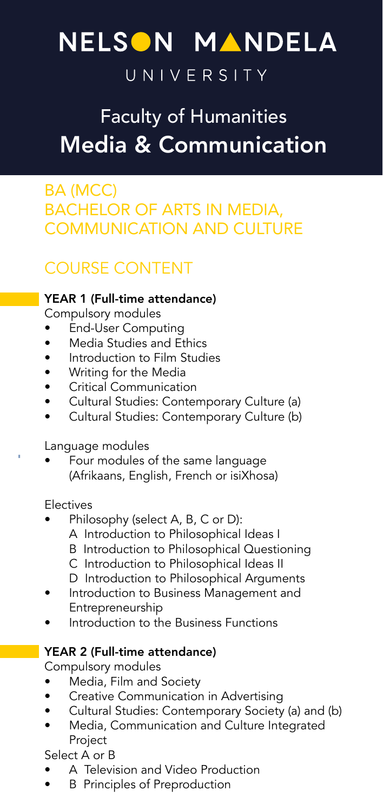# NELSON MANDELA

## UNIVERSITY

## Faculty of Humanities Media & Communication

### BA (MCC) BACHELOR OF ARTS IN MEDIA, COMMUNICATION AND CULTURE

## COURSE CONTENT

#### YEAR 1 (Full-time attendance)

Compulsory modules

- End-User Computing
- Media Studies and Ethics<br>• Introduction to Film Studi
- Introduction to Film Studies
- Writing for the Media
- Critical Communication
- Cultural Studies: Contemporary Culture (a)
- Cultural Studies: Contemporary Culture (b)

Language modules

• Four modules of the same language (Afrikaans, English, French or isiXhosa)

Electives

- Philosophy (select A, B, C or D):
	- A Introduction to Philosophical Ideas I
	- B Introduction to Philosophical Questioning
	- C Introduction to Philosophical Ideas II
	- D Introduction to Philosophical Arguments
- Introduction to Business Management and Entrepreneurship
- Introduction to the Business Functions

#### YEAR 2 (Full-time attendance)

Compulsory modules

- Media, Film and Society
- Creative Communication in Advertising
- Cultural Studies: Contemporary Society (a) and (b)
- Media, Communication and Culture Integrated Project

Select A or B

- A Television and Video Production
- **B** Principles of Preproduction